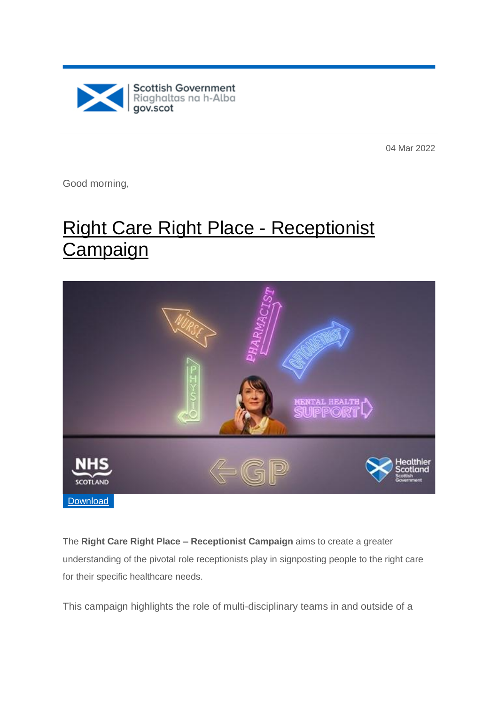

04 Mar 2022

Good morning,

# [Right Care Right Place -](https://sgmarketing-newsroom.prgloo.com/news/right-care-right-place-receptionist-campaign) Receptionist [Campaign](https://sgmarketing-newsroom.prgloo.com/news/right-care-right-place-receptionist-campaign)



The **Right Care Right Place – Receptionist Campaign** aims to create a greater understanding of the pivotal role receptionists play in signposting people to the right care for their specific healthcare needs.

This campaign highlights the role of multi-disciplinary teams in and outside of a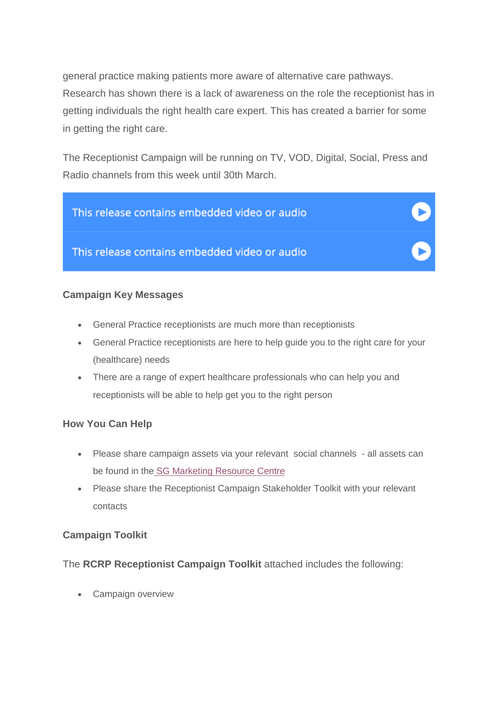general practice making patients more aware of alternative care pathways. Research has shown there is a lack of awareness on the role the receptionist has in getting individuals the right health care expert. This has created a barrier for some in getting the right care.

The Receptionist Campaign will be running on TV, VOD, Digital, Social, Press and Radio channels from this week until 30th March.



#### **Campaign Key Messages**

- General Practice receptionists are much more than receptionists
- General Practice receptionists are here to help guide you to the right care for your (healthcare) needs
- There are a range of expert healthcare professionals who can help you and receptionists will be able to help get you to the right person

#### **How You Can Help**

- Please share campaign assets via your relevant social channels all assets can be found in the [SG Marketing Resource Centre](https://sgmarketing-newsroom.prgloo.com/resources/f/healthier-scotland-campaigns/right-care-right-place-receptionist-campaign)
- Please share the Receptionist Campaign Stakeholder Toolkit with your relevant contacts

#### **Campaign Toolkit**

The **RCRP Receptionist Campaign Toolkit** attached includes the following:

Campaign overview